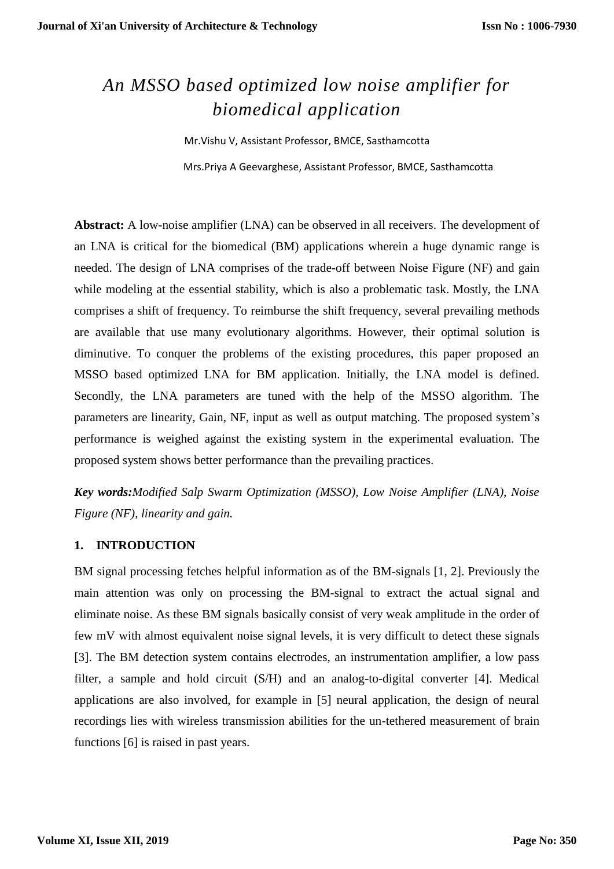# *An MSSO based optimized low noise amplifier for biomedical application*

Mr.Vishu V, Assistant Professor, BMCE, Sasthamcotta Mrs.Priya A Geevarghese, Assistant Professor, BMCE, Sasthamcotta

**Abstract:** A low-noise amplifier (LNA) can be observed in all receivers. The development of an LNA is critical for the biomedical (BM) applications wherein a huge dynamic range is needed. The design of LNA comprises of the trade-off between Noise Figure (NF) and gain while modeling at the essential stability, which is also a problematic task. Mostly, the LNA comprises a shift of frequency. To reimburse the shift frequency, several prevailing methods are available that use many evolutionary algorithms. However, their optimal solution is diminutive. To conquer the problems of the existing procedures, this paper proposed an MSSO based optimized LNA for BM application. Initially, the LNA model is defined. Secondly, the LNA parameters are tuned with the help of the MSSO algorithm. The parameters are linearity, Gain, NF, input as well as output matching. The proposed system's performance is weighed against the existing system in the experimental evaluation. The proposed system shows better performance than the prevailing practices.

*Key words:Modified Salp Swarm Optimization (MSSO), Low Noise Amplifier (LNA), Noise Figure (NF), linearity and gain.*

## **1. INTRODUCTION**

BM signal processing fetches helpful information as of the BM-signals [1, 2]. Previously the main attention was only on processing the BM-signal to extract the actual signal and eliminate noise. As these BM signals basically consist of very weak amplitude in the order of few mV with almost equivalent noise signal levels, it is very difficult to detect these signals [3]. The BM detection system contains electrodes, an instrumentation amplifier, a low pass filter, a sample and hold circuit (S/H) and an analog-to-digital converter [4]. Medical applications are also involved, for example in [5] neural application, the design of neural recordings lies with wireless transmission abilities for the un-tethered measurement of brain functions [6] is raised in past years.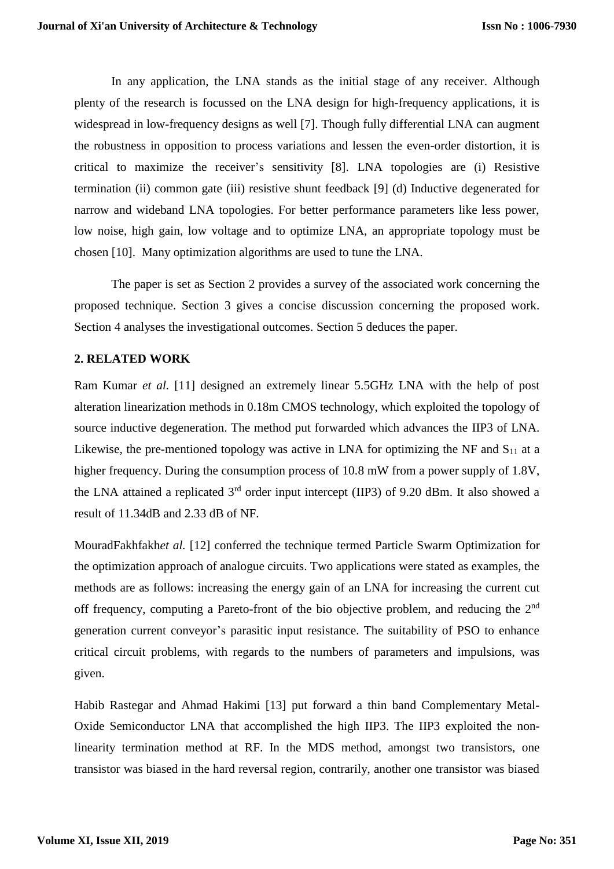In any application, the LNA stands as the initial stage of any receiver. Although plenty of the research is focussed on the LNA design for high-frequency applications, it is widespread in low-frequency designs as well [7]. Though fully differential LNA can augment the robustness in opposition to process variations and lessen the even-order distortion, it is critical to maximize the receiver's sensitivity [8]. LNA topologies are (i) Resistive termination (ii) common gate (iii) resistive shunt feedback [9] (d) Inductive degenerated for narrow and wideband LNA topologies. For better performance parameters like less power, low noise, high gain, low voltage and to optimize LNA, an appropriate topology must be chosen [10]. Many optimization algorithms are used to tune the LNA.

The paper is set as Section 2 provides a survey of the associated work concerning the proposed technique. Section 3 gives a concise discussion concerning the proposed work. Section 4 analyses the investigational outcomes. Section 5 deduces the paper.

## **2. RELATED WORK**

Ram Kumar *et al.* [11] designed an extremely linear 5.5GHz LNA with the help of post alteration linearization methods in 0.18m CMOS technology, which exploited the topology of source inductive degeneration. The method put forwarded which advances the IIP3 of LNA. Likewise, the pre-mentioned topology was active in LNA for optimizing the NF and  $S_{11}$  at a higher frequency. During the consumption process of 10.8 mW from a power supply of 1.8V, the LNA attained a replicated  $3<sup>rd</sup>$  order input intercept (IIP3) of 9.20 dBm. It also showed a result of 11.34dB and 2.33 dB of NF.

MouradFakhfakh*et al.* [12] conferred the technique termed Particle Swarm Optimization for the optimization approach of analogue circuits. Two applications were stated as examples, the methods are as follows: increasing the energy gain of an LNA for increasing the current cut off frequency, computing a Pareto-front of the bio objective problem, and reducing the 2<sup>nd</sup> generation current conveyor's parasitic input resistance. The suitability of PSO to enhance critical circuit problems, with regards to the numbers of parameters and impulsions, was given.

Habib Rastegar and Ahmad Hakimi [13] put forward a thin band Complementary Metal-Oxide Semiconductor LNA that accomplished the high IIP3. The IIP3 exploited the nonlinearity termination method at RF. In the MDS method, amongst two transistors, one transistor was biased in the hard reversal region, contrarily, another one transistor was biased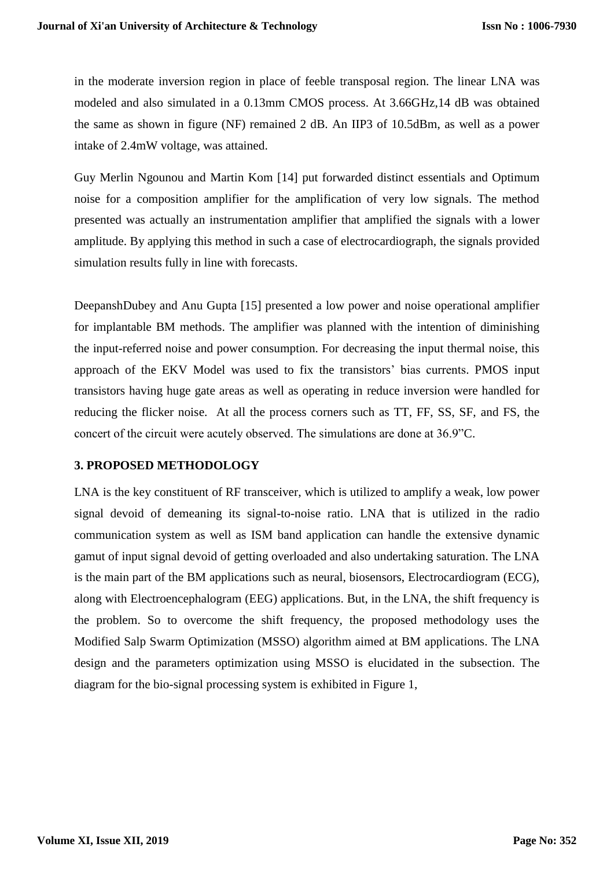in the moderate inversion region in place of feeble transposal region. The linear LNA was modeled and also simulated in a 0.13mm CMOS process. At 3.66GHz,14 dB was obtained the same as shown in figure (NF) remained 2 dB. An IIP3 of 10.5dBm, as well as a power intake of 2.4mW voltage, was attained.

Guy Merlin Ngounou and Martin Kom [14] put forwarded distinct essentials and Optimum noise for a composition amplifier for the amplification of very low signals. The method presented was actually an instrumentation amplifier that amplified the signals with a lower amplitude. By applying this method in such a case of electrocardiograph, the signals provided simulation results fully in line with forecasts.

DeepanshDubey and Anu Gupta [15] presented a low power and noise operational amplifier for implantable BM methods. The amplifier was planned with the intention of diminishing the input-referred noise and power consumption. For decreasing the input thermal noise, this approach of the EKV Model was used to fix the transistors' bias currents. PMOS input transistors having huge gate areas as well as operating in reduce inversion were handled for reducing the flicker noise. At all the process corners such as TT, FF, SS, SF, and FS, the concert of the circuit were acutely observed. The simulations are done at 36.9"C.

## **3. PROPOSED METHODOLOGY**

LNA is the key constituent of RF transceiver, which is utilized to amplify a weak, low power signal devoid of demeaning its signal-to-noise ratio. LNA that is utilized in the radio communication system as well as ISM band application can handle the extensive dynamic gamut of input signal devoid of getting overloaded and also undertaking saturation. The LNA is the main part of the BM applications such as neural, biosensors, Electrocardiogram (ECG), along with Electroencephalogram (EEG) applications. But, in the LNA, the shift frequency is the problem. So to overcome the shift frequency, the proposed methodology uses the Modified Salp Swarm Optimization (MSSO) algorithm aimed at BM applications. The LNA design and the parameters optimization using MSSO is elucidated in the subsection. The diagram for the bio-signal processing system is exhibited in Figure 1,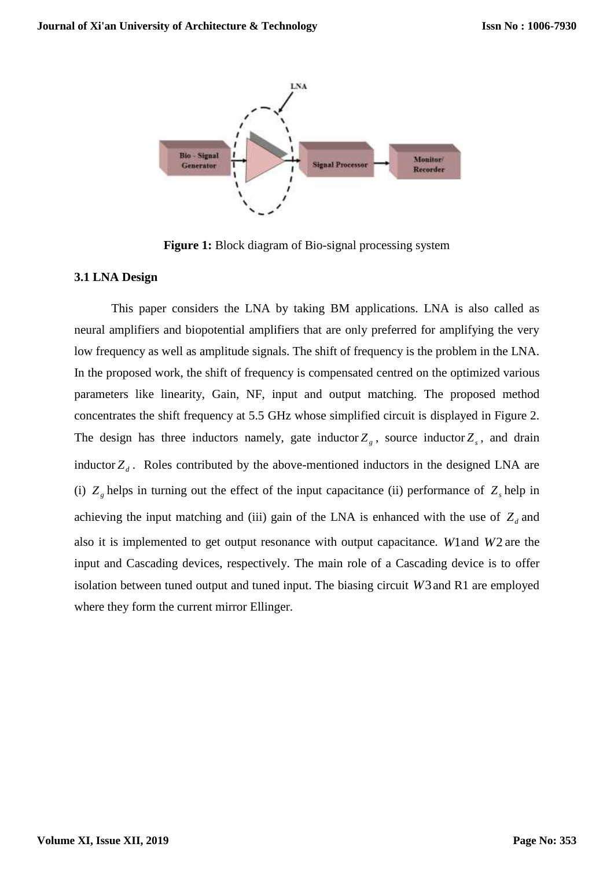

**Figure 1:** Block diagram of Bio-signal processing system

#### **3.1 LNA Design**

This paper considers the LNA by taking BM applications. LNA is also called as neural amplifiers and biopotential amplifiers that are only preferred for amplifying the very low frequency as well as amplitude signals. The shift of frequency is the problem in the LNA. In the proposed work, the shift of frequency is compensated centred on the optimized various parameters like linearity, Gain, NF, input and output matching. The proposed method concentrates the shift frequency at 5.5 GHz whose simplified circuit is displayed in Figure 2. The design has three inductors namely, gate inductor  $Z_g$ , source inductor  $Z_g$ , and drain inductor  $Z_d$ . Roles contributed by the above-mentioned inductors in the designed LNA are (i)  $Z_g$  helps in turning out the effect of the input capacitance (ii) performance of  $Z_g$  help in achieving the input matching and (iii) gain of the LNA is enhanced with the use of  $Z_d$  and also it is implemented to get output resonance with output capacitance. *W*1 and *W*2 are the input and Cascading devices, respectively. The main role of a Cascading device is to offer isolation between tuned output and tuned input. The biasing circuit *W*3 and R1 are employed where they form the current mirror Ellinger.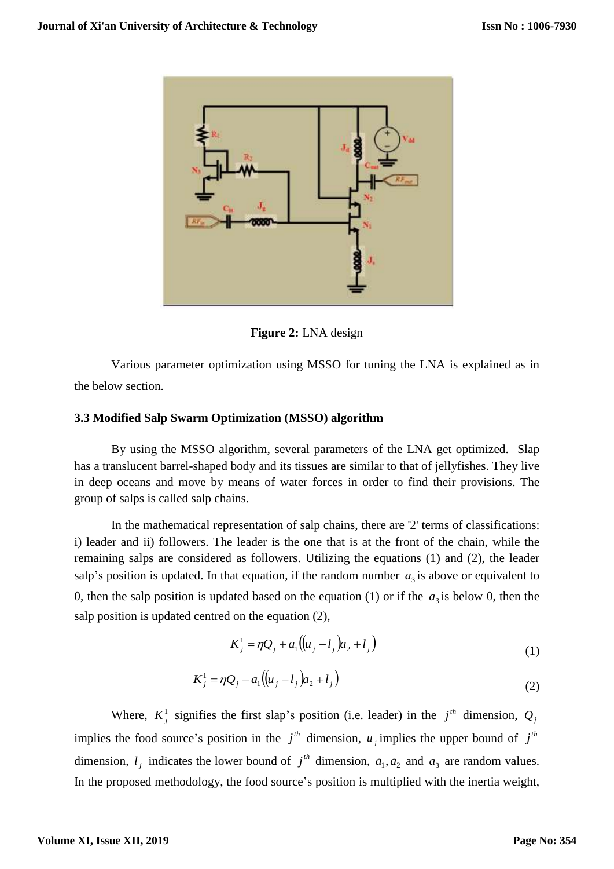

**Figure 2:** LNA design

Various parameter optimization using MSSO for tuning the LNA is explained as in the below section.

### **3.3 Modified Salp Swarm Optimization (MSSO) algorithm**

By using the MSSO algorithm, several parameters of the LNA get optimized. Slap has a translucent barrel-shaped body and its tissues are similar to that of jellyfishes. They live in deep oceans and move by means of water forces in order to find their provisions. The group of salps is called salp chains.

In the mathematical representation of salp chains, there are '2' terms of classifications: i) leader and ii) followers. The leader is the one that is at the front of the chain, while the remaining salps are considered as followers. Utilizing the equations (1) and (2), the leader salp's position is updated. In that equation, if the random number  $a_3$  is above or equivalent to 0, then the salp position is updated based on the equation  $(1)$  or if the  $a_3$  is below 0, then the salp position is updated centred on the equation (2),

$$
K_j^1 = \eta Q_j + a_1 ((u_j - l_j) a_2 + l_j)
$$
\n(1)

$$
K_j^1 = \eta Q_j - a_1 ((u_j - l_j) a_2 + l_j)
$$
\n(2)

Where,  $K_j^1$  signifies the first slap's position (i.e. leader) in the  $j^{th}$  dimension,  $Q_j$ implies the food source's position in the  $j<sup>th</sup>$  dimension,  $u_j$  implies the upper bound of  $j<sup>th</sup>$ dimension,  $l_j$  indicates the lower bound of  $j^{th}$  dimension,  $a_1, a_2$  and  $a_3$  are random values. In the proposed methodology, the food source's position is multiplied with the inertia weight,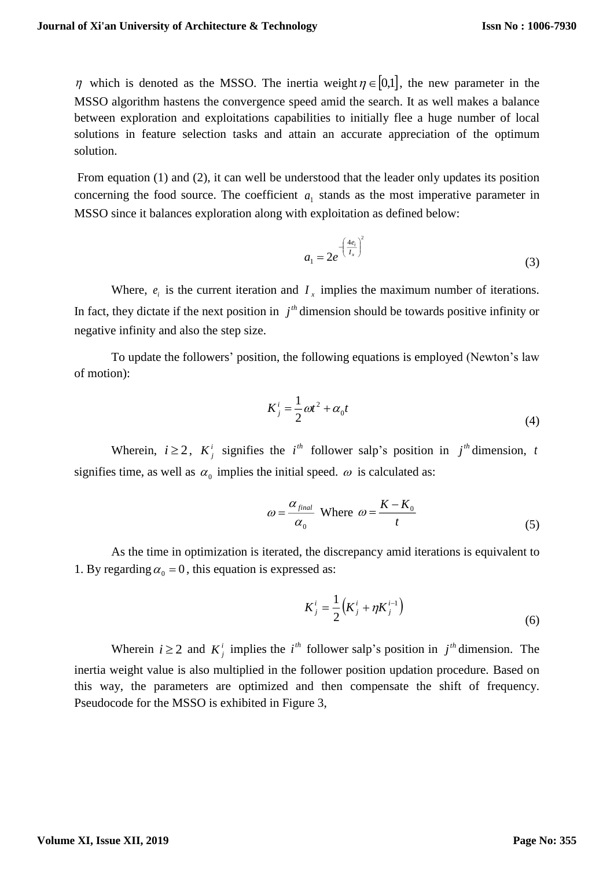$\eta$  which is denoted as the MSSO. The inertia weight  $\eta \in [0,1]$ , the new parameter in the MSSO algorithm hastens the convergence speed amid the search. It as well makes a balance between exploration and exploitations capabilities to initially flee a huge number of local solutions in feature selection tasks and attain an accurate appreciation of the optimum solution.

From equation (1) and (2), it can well be understood that the leader only updates its position concerning the food source. The coefficient  $a_1$  stands as the most imperative parameter in MSSO since it balances exploration along with exploitation as defined below:

$$
a_1 = 2e^{-\left(\frac{4e_i}{I_x}\right)^2}
$$
 (3)

Where,  $e_i$  is the current iteration and  $I_x$  implies the maximum number of iterations. In fact, they dictate if the next position in  $j<sup>th</sup>$  dimension should be towards positive infinity or negative infinity and also the step size.

To update the followers' position, the following equations is employed (Newton's law of motion):

$$
K_j^i = \frac{1}{2}\omega t^2 + \alpha_0 t \tag{4}
$$

Wherein,  $i \ge 2$ ,  $K_j^i$  signifies the  $i^{th}$  follower salp's position in  $j^{th}$  dimension, t signifies time, as well as  $\alpha_0$  implies the initial speed.  $\omega$  is calculated as:

$$
\omega = \frac{\alpha_{\text{final}}}{\alpha_0} \text{ Where } \omega = \frac{K - K_0}{t}
$$
 (5)

As the time in optimization is iterated, the discrepancy amid iterations is equivalent to 1. By regarding  $\alpha_0 = 0$ , this equation is expressed as:

$$
K_j^i = \frac{1}{2} \left( K_j^i + \eta K_j^{i-1} \right) \tag{6}
$$

Wherein  $i \ge 2$  and  $K_j^i$  implies the  $i^{th}$  follower salp's position in  $j^{th}$  dimension. The inertia weight value is also multiplied in the follower position updation procedure. Based on this way, the parameters are optimized and then compensate the shift of frequency. Pseudocode for the MSSO is exhibited in Figure 3,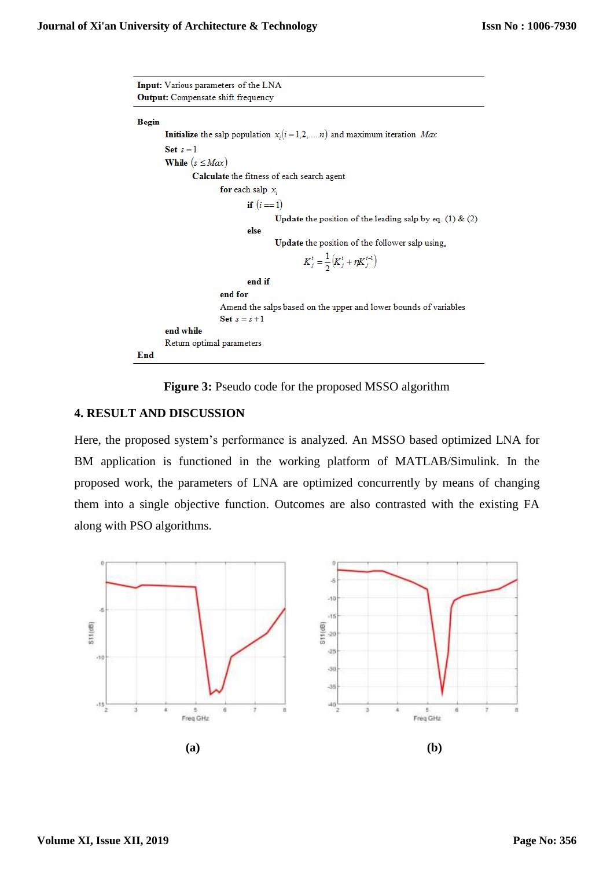Input: Various parameters of the LNA **Output:** Compensate shift frequency Begin **Initialize** the salp population  $x_i(i = 1, 2, ..., n)$  and maximum iteration  $Max$ Set  $s = 1$ While  $(s \leq Max)$ Calculate the fitness of each search agent for each salp  $x_i$ if  $(i == 1)$ **Update** the position of the leading salp by eq.  $(1)$  &  $(2)$ else Update the position of the follower salp using,  $K_j^i = \frac{1}{2} (K_j^i + \eta K_j^{i-1})$ end if end for Amend the salps based on the upper and lower bounds of variables Set  $s = s + 1$ end while Return optimal parameters End

**Figure 3:** Pseudo code for the proposed MSSO algorithm

### **4. RESULT AND DISCUSSION**

Here, the proposed system's performance is analyzed. An MSSO based optimized LNA for BM application is functioned in the working platform of MATLAB/Simulink. In the proposed work, the parameters of LNA are optimized concurrently by means of changing them into a single objective function. Outcomes are also contrasted with the existing FA along with PSO algorithms.

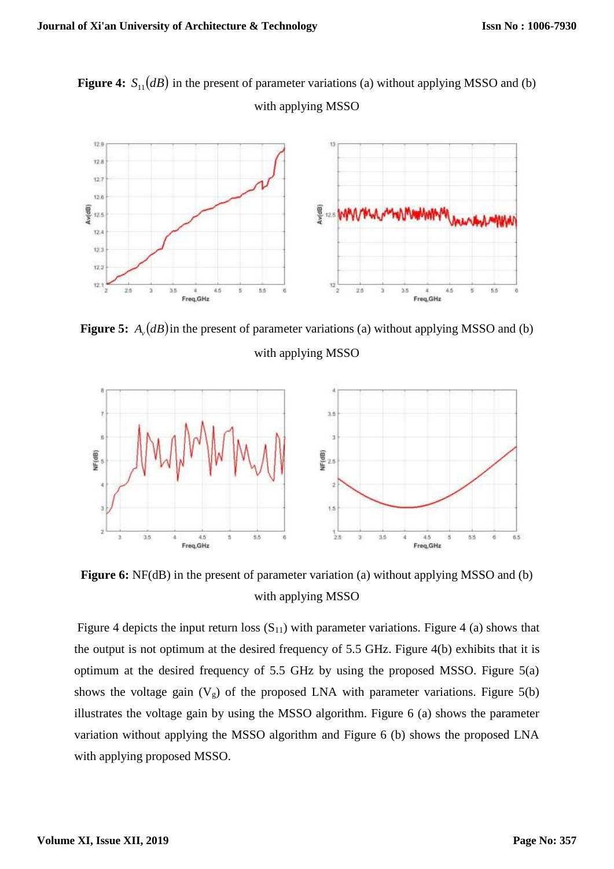**Figure 4:**  $S_{11}(dB)$  in the present of parameter variations (a) without applying MSSO and (b) with applying MSSO



**Figure 5:**  $A_{\nu}(dB)$  in the present of parameter variations (a) without applying MSSO and (b) with applying MSSO



**Figure 6:** NF(dB) in the present of parameter variation (a) without applying MSSO and (b) with applying MSSO

Figure 4 depicts the input return loss  $(S_{11})$  with parameter variations. Figure 4 (a) shows that the output is not optimum at the desired frequency of 5.5 GHz. Figure 4(b) exhibits that it is optimum at the desired frequency of 5.5 GHz by using the proposed MSSO. Figure 5(a) shows the voltage gain  $(V<sub>g</sub>)$  of the proposed LNA with parameter variations. Figure 5(b) illustrates the voltage gain by using the MSSO algorithm. Figure 6 (a) shows the parameter variation without applying the MSSO algorithm and Figure 6 (b) shows the proposed LNA with applying proposed MSSO.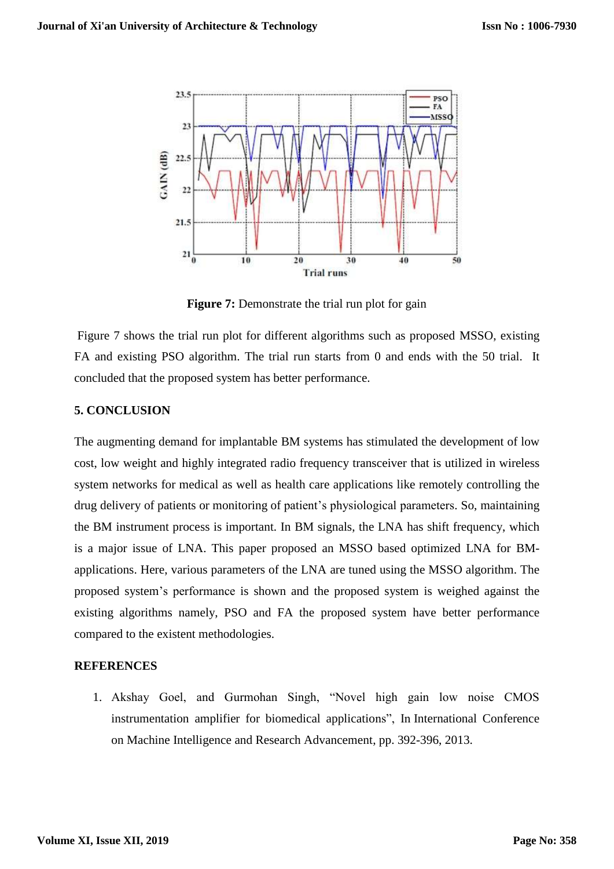

**Figure 7:** Demonstrate the trial run plot for gain

Figure 7 shows the trial run plot for different algorithms such as proposed MSSO, existing FA and existing PSO algorithm. The trial run starts from 0 and ends with the 50 trial. It concluded that the proposed system has better performance.

## **5. CONCLUSION**

The augmenting demand for implantable BM systems has stimulated the development of low cost, low weight and highly integrated radio frequency transceiver that is utilized in wireless system networks for medical as well as health care applications like remotely controlling the drug delivery of patients or monitoring of patient's physiological parameters. So, maintaining the BM instrument process is important. In BM signals, the LNA has shift frequency, which is a major issue of LNA. This paper proposed an MSSO based optimized LNA for BMapplications. Here, various parameters of the LNA are tuned using the MSSO algorithm. The proposed system's performance is shown and the proposed system is weighed against the existing algorithms namely, PSO and FA the proposed system have better performance compared to the existent methodologies.

## **REFERENCES**

1. Akshay Goel, and Gurmohan Singh, "Novel high gain low noise CMOS instrumentation amplifier for biomedical applications", In International Conference on Machine Intelligence and Research Advancement, pp. 392-396, 2013.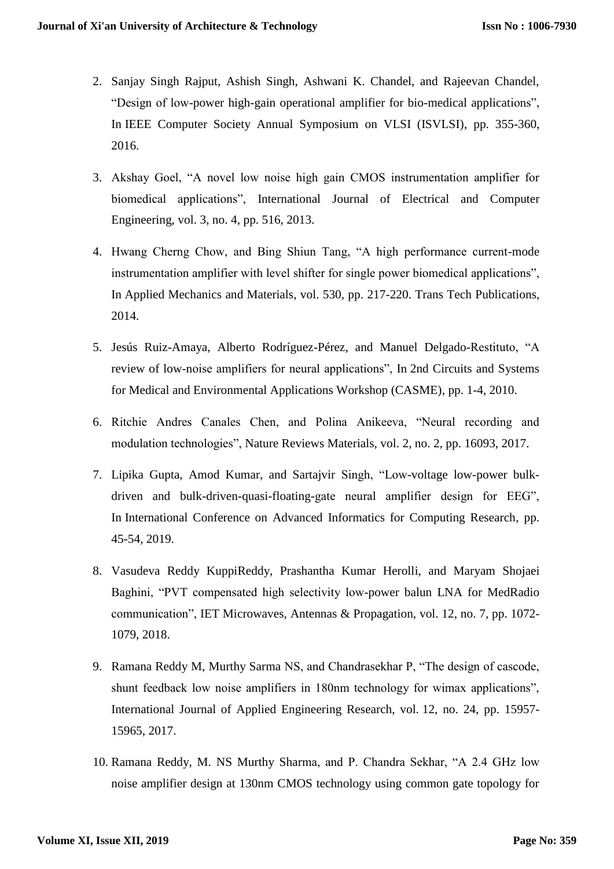- 2. Sanjay Singh Rajput, Ashish Singh, Ashwani K. Chandel, and Rajeevan Chandel, "Design of low-power high-gain operational amplifier for bio-medical applications", In IEEE Computer Society Annual Symposium on VLSI (ISVLSI), pp. 355-360, 2016.
- 3. Akshay Goel, "A novel low noise high gain CMOS instrumentation amplifier for biomedical applications", International Journal of Electrical and Computer Engineering, vol. 3, no. 4, pp. 516, 2013.
- 4. Hwang Cherng Chow, and Bing Shiun Tang, "A high performance current-mode instrumentation amplifier with level shifter for single power biomedical applications", In Applied Mechanics and Materials, vol. 530, pp. 217-220. Trans Tech Publications, 2014.
- 5. Jesús Ruiz-Amaya, Alberto Rodríguez-Pérez, and Manuel Delgado-Restituto, "A review of low-noise amplifiers for neural applications", In 2nd Circuits and Systems for Medical and Environmental Applications Workshop (CASME), pp. 1-4, 2010.
- 6. Ritchie Andres Canales Chen, and Polina Anikeeva, "Neural recording and modulation technologies", Nature Reviews Materials, vol. 2, no. 2, pp. 16093, 2017.
- 7. Lipika Gupta, Amod Kumar, and Sartajvir Singh, "Low-voltage low-power bulkdriven and bulk-driven-quasi-floating-gate neural amplifier design for EEG", In International Conference on Advanced Informatics for Computing Research, pp. 45-54, 2019.
- 8. Vasudeva Reddy KuppiReddy, Prashantha Kumar Herolli, and Maryam Shojaei Baghini, "PVT compensated high selectivity low-power balun LNA for MedRadio communication", IET Microwaves, Antennas & Propagation, vol. 12, no. 7, pp. 1072- 1079, 2018.
- 9. Ramana Reddy M, Murthy Sarma NS, and Chandrasekhar P, "The design of cascode, shunt feedback low noise amplifiers in 180nm technology for wimax applications", International Journal of Applied Engineering Research, vol. 12, no. 24, pp. 15957- 15965, 2017.
- 10. Ramana Reddy, M. NS Murthy Sharma, and P. Chandra Sekhar, "A 2.4 GHz low noise amplifier design at 130nm CMOS technology using common gate topology for